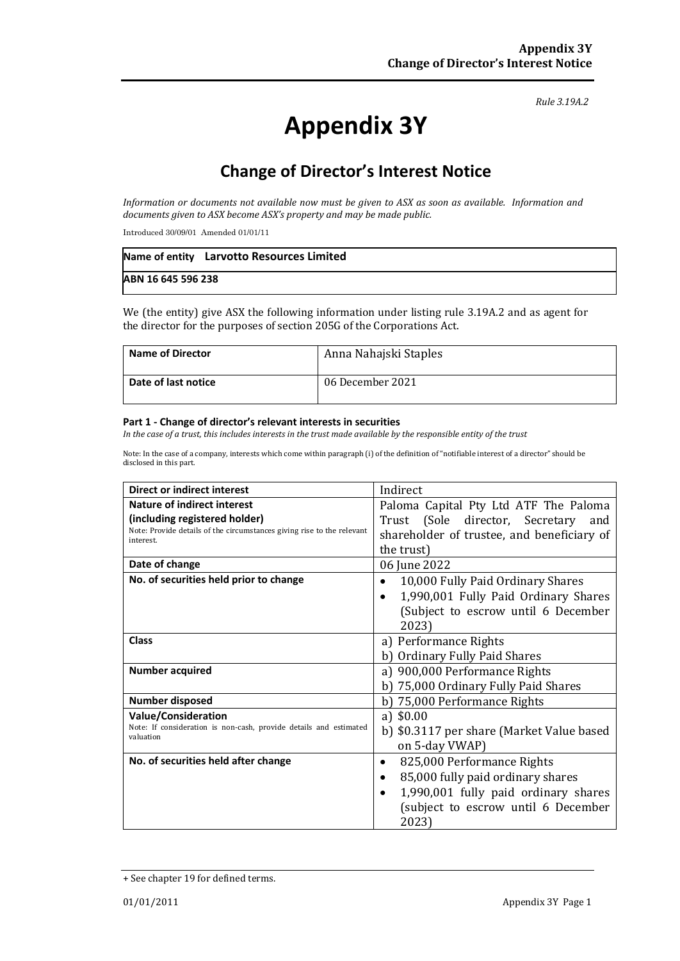#### *Rule 3.19A.2*

# **Appendix 3Y**

# **Change of Director's Interest Notice**

*Information or documents not available now must be given to ASX as soon as available. Information and documents given to ASX become ASX's property and may be made public.*

Introduced 30/09/01 Amended 01/01/11

|                    | Name of entity Larvotto Resources Limited |
|--------------------|-------------------------------------------|
| ABN 16 645 596 238 |                                           |

We (the entity) give ASX the following information under listing rule 3.19A.2 and as agent for the director for the purposes of section 205G of the Corporations Act.

| <b>Name of Director</b> | Anna Nahajski Staples |  |  |
|-------------------------|-----------------------|--|--|
| Date of last notice     | 06 December 2021      |  |  |

#### **Part 1 - Change of director's relevant interests in securities**

*In the case of a trust, this includes interests in the trust made available by the responsible entity of the trust*

Note: In the case of a company, interests which come within paragraph (i) of the definition of "notifiable interest of a director" should be disclosed in this part.

| <b>Direct or indirect interest</b>                                                  | Indirect                                          |  |  |
|-------------------------------------------------------------------------------------|---------------------------------------------------|--|--|
| <b>Nature of indirect interest</b>                                                  | Paloma Capital Pty Ltd ATF The Paloma             |  |  |
| (including registered holder)                                                       | Trust (Sole director, Secretary<br>and            |  |  |
| Note: Provide details of the circumstances giving rise to the relevant<br>interest. | shareholder of trustee, and beneficiary of        |  |  |
|                                                                                     | the trust)                                        |  |  |
| Date of change                                                                      | 06 June 2022                                      |  |  |
| No. of securities held prior to change                                              | 10,000 Fully Paid Ordinary Shares<br>٠            |  |  |
|                                                                                     | 1,990,001 Fully Paid Ordinary Shares<br>$\bullet$ |  |  |
|                                                                                     | (Subject to escrow until 6 December               |  |  |
|                                                                                     | 2023)                                             |  |  |
| <b>Class</b>                                                                        | a) Performance Rights                             |  |  |
|                                                                                     | <b>Ordinary Fully Paid Shares</b>                 |  |  |
| <b>Number acquired</b>                                                              | a) 900,000 Performance Rights                     |  |  |
|                                                                                     | b) 75,000 Ordinary Fully Paid Shares              |  |  |
| <b>Number disposed</b>                                                              | 75,000 Performance Rights<br>b)                   |  |  |
| <b>Value/Consideration</b>                                                          | a) $$0.00$                                        |  |  |
| Note: If consideration is non-cash, provide details and estimated<br>valuation      | b) \$0.3117 per share (Market Value based         |  |  |
|                                                                                     | on 5-day VWAP)                                    |  |  |
| No. of securities held after change                                                 | 825,000 Performance Rights<br>٠                   |  |  |
|                                                                                     | 85,000 fully paid ordinary shares<br>$\bullet$    |  |  |
|                                                                                     | 1,990,001 fully paid ordinary shares<br>$\bullet$ |  |  |
|                                                                                     | (subject to escrow until 6 December               |  |  |
|                                                                                     | 2023)                                             |  |  |

<sup>+</sup> See chapter 19 for defined terms.